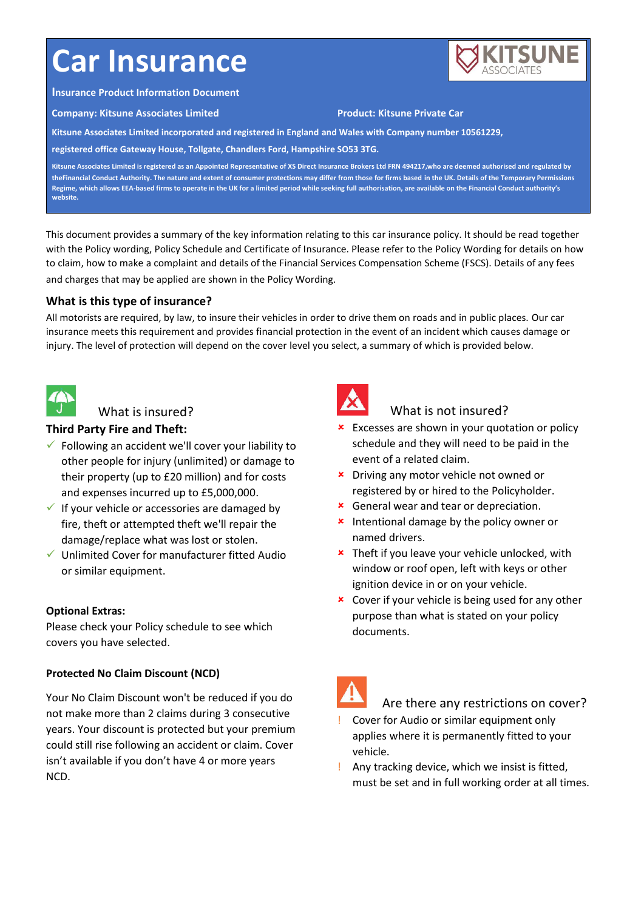# **Car Insurance**



#### **Insurance Product Information Document**

**Company: Kitsune Associates Limited Product: Kitsune Private Car**

**Kitsune Associates Limited incorporated and registered in England and Wales with Company number 10561229,**

**registered office Gateway House, Tollgate, Chandlers Ford, Hampshire SO53 3TG.**

**Kitsune Associates Limited is registered as an Appointed Representative of XS Direct Insurance Brokers Ltd FRN 494217,who are deemed authorised and regulated by theFinancial Conduct Authority. The nature and extent of consumer protections may differ from those for firms based in the UK. Details of the Temporary Permissions Regime, which allows EEA-based firms to operate in the UK for a limited period while seeking full authorisation, are available on the Financial Conduct authority's website.**

This document provides a summary of the key information relating to this car insurance policy. It should be read together with the Policy wording, Policy Schedule and Certificate of Insurance. Please refer to the Policy Wording for details on how to claim, how to make a complaint and details of the Financial Services Compensation Scheme (FSCS). Details of any fees and charges that may be applied are shown in the Policy Wording.

## **What is this type of insurance?**

All motorists are required, by law, to insure their vehicles in order to drive them on roads and in public places. Our car insurance meets this requirement and provides financial protection in the event of an incident which causes damage or injury. The level of protection will depend on the cover level you select, a summary of which is provided below.



#### What is insured?

## **Third Party Fire and Theft:**

- $\checkmark$  Following an accident we'll cover your liability to other people for injury (unlimited) or damage to their property (up to £20 million) and for costs and expenses incurred up to £5,000,000.
- $\checkmark$  If your vehicle or accessories are damaged by fire, theft or attempted theft we'll repair the damage/replace what was lost or stolen.
- $\checkmark$  Unlimited Cover for manufacturer fitted Audio or similar equipment.

#### **Optional Extras:**

Please check your Policy schedule to see which covers you have selected.

## **Protected No Claim Discount (NCD)**

Your No Claim Discount won't be reduced if you do not make more than 2 claims during 3 consecutive years. Your discount is protected but your premium could still rise following an accident or claim. Cover isn't available if you don't have 4 or more years NCD.



# What is not insured?

- **\*** Excesses are shown in your quotation or policy schedule and they will need to be paid in the event of a related claim.
- **\*** Driving any motor vehicle not owned or registered by or hired to the Policyholder.
- **\*** General wear and tear or depreciation.
- **\*** Intentional damage by the policy owner or named drivers.
- **\*** Theft if you leave your vehicle unlocked, with window or roof open, left with keys or other ignition device in or on your vehicle.
- **x** Cover if your vehicle is being used for any other purpose than what is stated on your policy documents.



## Are there any restrictions on cover?

- ! Cover for Audio or similar equipment only applies where it is permanently fitted to your vehicle.
- ! Any tracking device, which we insist is fitted, must be set and in full working order at all times.